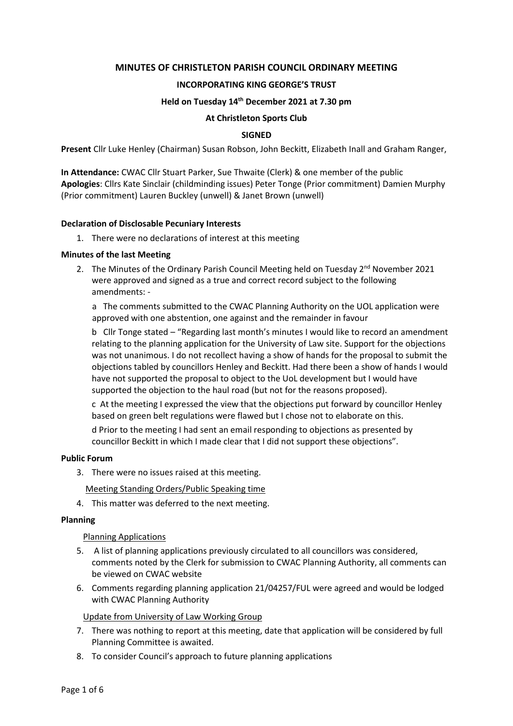### **MINUTES OF CHRISTLETON PARISH COUNCIL ORDINARY MEETING**

### **INCORPORATING KING GEORGE'S TRUST**

#### **Held on Tuesday 14th December 2021 at 7.30 pm**

#### **At Christleton Sports Club**

#### **SIGNED**

**Present** Cllr Luke Henley (Chairman) Susan Robson, John Beckitt, Elizabeth Inall and Graham Ranger,

**In Attendance:** CWAC Cllr Stuart Parker, Sue Thwaite (Clerk) & one member of the public **Apologies**: Cllrs Kate Sinclair (childminding issues) Peter Tonge (Prior commitment) Damien Murphy (Prior commitment) Lauren Buckley (unwell) & Janet Brown (unwell)

#### **Declaration of Disclosable Pecuniary Interests**

1. There were no declarations of interest at this meeting

#### **Minutes of the last Meeting**

2. The Minutes of the Ordinary Parish Council Meeting held on Tuesday 2<sup>nd</sup> November 2021 were approved and signed as a true and correct record subject to the following amendments: -

a The comments submitted to the CWAC Planning Authority on the UOL application were approved with one abstention, one against and the remainder in favour

b Cllr Tonge stated – "Regarding last month's minutes I would like to record an amendment relating to the planning application for the University of Law site. Support for the objections was not unanimous. I do not recollect having a show of hands for the proposal to submit the objections tabled by councillors Henley and Beckitt. Had there been a show of hands I would have not supported the proposal to object to the UoL development but I would have supported the objection to the haul road (but not for the reasons proposed).

c At the meeting I expressed the view that the objections put forward by councillor Henley based on green belt regulations were flawed but I chose not to elaborate on this.

d Prior to the meeting I had sent an email responding to objections as presented by councillor Beckitt in which I made clear that I did not support these objections".

#### **Public Forum**

3. There were no issues raised at this meeting.

Meeting Standing Orders/Public Speaking time

4. This matter was deferred to the next meeting.

#### **Planning**

#### Planning Applications

- 5. A list of planning applications previously circulated to all councillors was considered, comments noted by the Clerk for submission to CWAC Planning Authority, all comments can be viewed on CWAC website
- 6. Comments regarding planning application 21/04257/FUL were agreed and would be lodged with CWAC Planning Authority

#### Update from University of Law Working Group

- 7. There was nothing to report at this meeting, date that application will be considered by full Planning Committee is awaited.
- 8. To consider Council's approach to future planning applications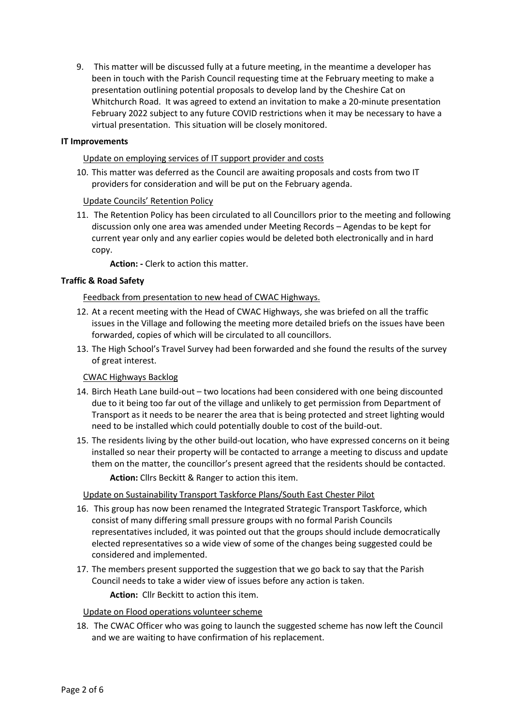9. This matter will be discussed fully at a future meeting, in the meantime a developer has been in touch with the Parish Council requesting time at the February meeting to make a presentation outlining potential proposals to develop land by the Cheshire Cat on Whitchurch Road. It was agreed to extend an invitation to make a 20-minute presentation February 2022 subject to any future COVID restrictions when it may be necessary to have a virtual presentation. This situation will be closely monitored.

## **IT Improvements**

## Update on employing services of IT support provider and costs

10. This matter was deferred as the Council are awaiting proposals and costs from two IT providers for consideration and will be put on the February agenda.

# Update Councils' Retention Policy

11. The Retention Policy has been circulated to all Councillors prior to the meeting and following discussion only one area was amended under Meeting Records – Agendas to be kept for current year only and any earlier copies would be deleted both electronically and in hard copy.

**Action: -** Clerk to action this matter.

# **Traffic & Road Safety**

Feedback from presentation to new head of CWAC Highways.

- 12. At a recent meeting with the Head of CWAC Highways, she was briefed on all the traffic issues in the Village and following the meeting more detailed briefs on the issues have been forwarded, copies of which will be circulated to all councillors.
- 13. The High School's Travel Survey had been forwarded and she found the results of the survey of great interest.

## CWAC Highways Backlog

- 14. Birch Heath Lane build-out two locations had been considered with one being discounted due to it being too far out of the village and unlikely to get permission from Department of Transport as it needs to be nearer the area that is being protected and street lighting would need to be installed which could potentially double to cost of the build-out.
- 15. The residents living by the other build-out location, who have expressed concerns on it being installed so near their property will be contacted to arrange a meeting to discuss and update them on the matter, the councillor's present agreed that the residents should be contacted.
	- **Action:** Cllrs Beckitt & Ranger to action this item.

# Update on Sustainability Transport Taskforce Plans/South East Chester Pilot

- 16. This group has now been renamed the Integrated Strategic Transport Taskforce, which consist of many differing small pressure groups with no formal Parish Councils representatives included, it was pointed out that the groups should include democratically elected representatives so a wide view of some of the changes being suggested could be considered and implemented.
- 17. The members present supported the suggestion that we go back to say that the Parish Council needs to take a wider view of issues before any action is taken.

**Action:** Cllr Beckitt to action this item.

## Update on Flood operations volunteer scheme

18. The CWAC Officer who was going to launch the suggested scheme has now left the Council and we are waiting to have confirmation of his replacement.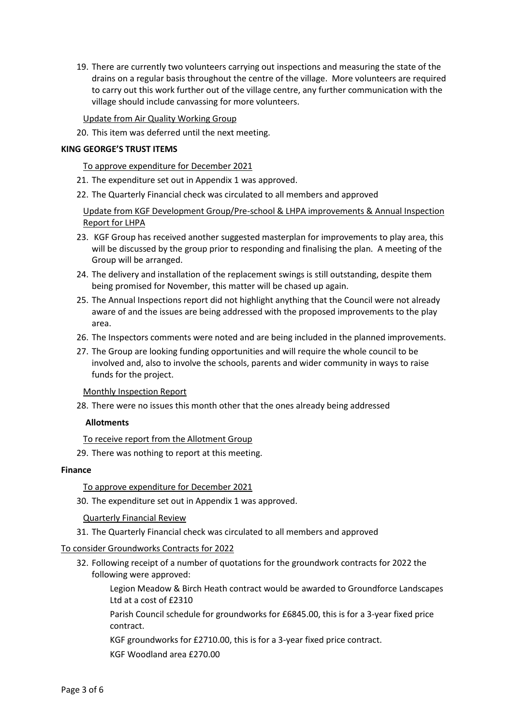19. There are currently two volunteers carrying out inspections and measuring the state of the drains on a regular basis throughout the centre of the village. More volunteers are required to carry out this work further out of the village centre, any further communication with the village should include canvassing for more volunteers.

Update from Air Quality Working Group

20. This item was deferred until the next meeting.

#### **KING GEORGE'S TRUST ITEMS**

#### To approve expenditure for December 2021

- 21. The expenditure set out in Appendix 1 was approved.
- 22. The Quarterly Financial check was circulated to all members and approved

Update from KGF Development Group/Pre-school & LHPA improvements & Annual Inspection Report for LHPA

- 23. KGF Group has received another suggested masterplan for improvements to play area, this will be discussed by the group prior to responding and finalising the plan. A meeting of the Group will be arranged.
- 24. The delivery and installation of the replacement swings is still outstanding, despite them being promised for November, this matter will be chased up again.
- 25. The Annual Inspections report did not highlight anything that the Council were not already aware of and the issues are being addressed with the proposed improvements to the play area.
- 26. The Inspectors comments were noted and are being included in the planned improvements.
- 27. The Group are looking funding opportunities and will require the whole council to be involved and, also to involve the schools, parents and wider community in ways to raise funds for the project.

Monthly Inspection Report

28. There were no issues this month other that the ones already being addressed

## **Allotments**

## To receive report from the Allotment Group

29. There was nothing to report at this meeting.

## **Finance**

## To approve expenditure for December 2021

- 30. The expenditure set out in Appendix 1 was approved.
	- Quarterly Financial Review
- 31. The Quarterly Financial check was circulated to all members and approved

## To consider Groundworks Contracts for 2022

32. Following receipt of a number of quotations for the groundwork contracts for 2022 the following were approved:

Legion Meadow & Birch Heath contract would be awarded to Groundforce Landscapes Ltd at a cost of £2310

Parish Council schedule for groundworks for £6845.00, this is for a 3-year fixed price contract.

KGF groundworks for £2710.00, this is for a 3-year fixed price contract. KGF Woodland area £270.00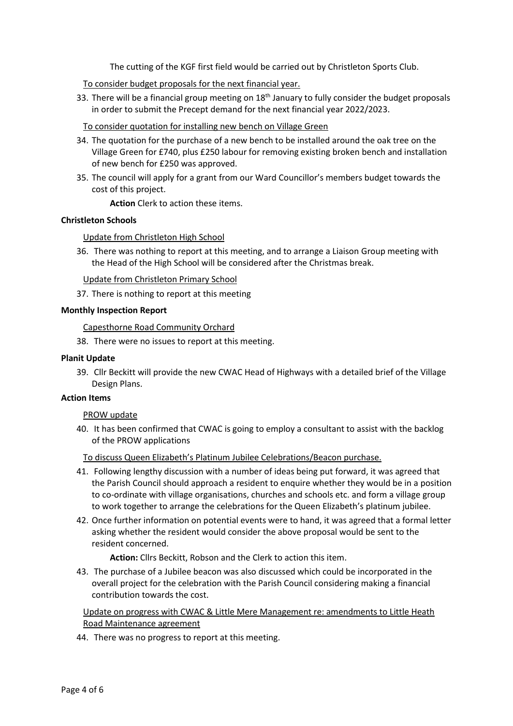The cutting of the KGF first field would be carried out by Christleton Sports Club.

To consider budget proposals for the next financial year.

33. There will be a financial group meeting on  $18<sup>th</sup>$  January to fully consider the budget proposals in order to submit the Precept demand for the next financial year 2022/2023.

### To consider quotation for installing new bench on Village Green

- 34. The quotation for the purchase of a new bench to be installed around the oak tree on the Village Green for £740, plus £250 labour for removing existing broken bench and installation of new bench for £250 was approved.
- 35. The council will apply for a grant from our Ward Councillor's members budget towards the cost of this project.

**Action** Clerk to action these items.

### **Christleton Schools**

### Update from Christleton High School

36. There was nothing to report at this meeting, and to arrange a Liaison Group meeting with the Head of the High School will be considered after the Christmas break.

Update from Christleton Primary School

37. There is nothing to report at this meeting

#### **Monthly Inspection Report**

Capesthorne Road Community Orchard

38. There were no issues to report at this meeting.

#### **Planit Update**

39. Cllr Beckitt will provide the new CWAC Head of Highways with a detailed brief of the Village Design Plans.

#### **Action Items**

#### PROW update

40. It has been confirmed that CWAC is going to employ a consultant to assist with the backlog of the PROW applications

To discuss Queen Elizabeth's Platinum Jubilee Celebrations/Beacon purchase.

- 41. Following lengthy discussion with a number of ideas being put forward, it was agreed that the Parish Council should approach a resident to enquire whether they would be in a position to co-ordinate with village organisations, churches and schools etc. and form a village group to work together to arrange the celebrations for the Queen Elizabeth's platinum jubilee.
- 42. Once further information on potential events were to hand, it was agreed that a formal letter asking whether the resident would consider the above proposal would be sent to the resident concerned.

**Action:** Cllrs Beckitt, Robson and the Clerk to action this item.

43. The purchase of a Jubilee beacon was also discussed which could be incorporated in the overall project for the celebration with the Parish Council considering making a financial contribution towards the cost.

Update on progress with CWAC & Little Mere Management re: amendments to Little Heath Road Maintenance agreement

44. There was no progress to report at this meeting.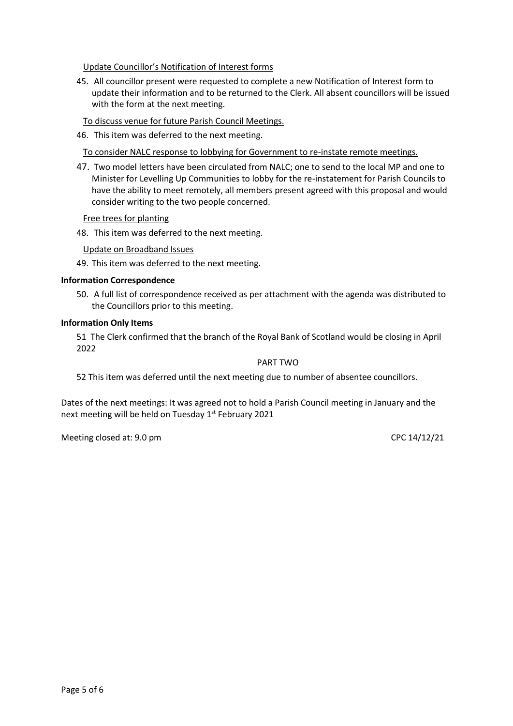Update Councillor's Notification of Interest forms

45. All councillor present were requested to complete a new Notification of Interest form to update their information and to be returned to the Clerk. All absent councillors will be issued with the form at the next meeting.

To discuss venue for future Parish Council Meetings.

46. This item was deferred to the next meeting.

To consider NALC response to lobbying for Government to re-instate remote meetings.

47. Two model letters have been circulated from NALC; one to send to the local MP and one to Minister for Levelling Up Communities to lobby for the re-instatement for Parish Councils to have the ability to meet remotely, all members present agreed with this proposal and would consider writing to the two people concerned.

### Free trees for planting

48. This item was deferred to the next meeting.

Update on Broadband Issues

49. This item was deferred to the next meeting.

### **Information Correspondence**

50. A full list of correspondence received as per attachment with the agenda was distributed to the Councillors prior to this meeting.

### **Information Only Items**

51 The Clerk confirmed that the branch of the Royal Bank of Scotland would be closing in April 2022

#### PART TWO

52 This item was deferred until the next meeting due to number of absentee councillors.

Dates of the next meetings: It was agreed not to hold a Parish Council meeting in January and the next meeting will be held on Tuesday 1<sup>st</sup> February 2021

Meeting closed at: 9.0 pm CPC 14/12/21